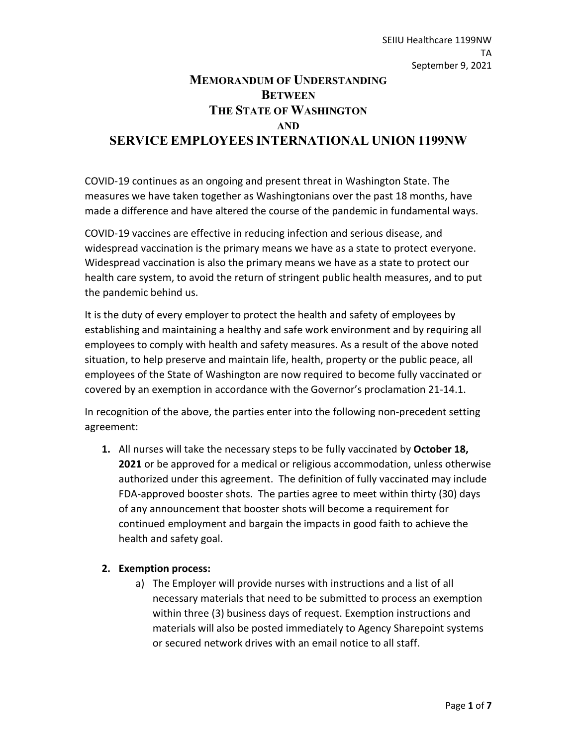# **MEMORANDUM OF UNDERSTANDING BETWEEN THE STATE OF WASHINGTON AND SERVICE EMPLOYEES INTERNATIONAL UNION 1199NW**

COVID-19 continues as an ongoing and present threat in Washington State. The measures we have taken together as Washingtonians over the past 18 months, have made a difference and have altered the course of the pandemic in fundamental ways.

COVID-19 vaccines are effective in reducing infection and serious disease, and widespread vaccination is the primary means we have as a state to protect everyone. Widespread vaccination is also the primary means we have as a state to protect our health care system, to avoid the return of stringent public health measures, and to put the pandemic behind us.

It is the duty of every employer to protect the health and safety of employees by establishing and maintaining a healthy and safe work environment and by requiring all employees to comply with health and safety measures. As a result of the above noted situation, to help preserve and maintain life, health, property or the public peace, all employees of the State of Washington are now required to become fully vaccinated or covered by an exemption in accordance with the Governor's proclamation 21-14.1.

In recognition of the above, the parties enter into the following non-precedent setting agreement:

**1.** All nurses will take the necessary steps to be fully vaccinated by **October 18, 2021** or be approved for a medical or religious accommodation, unless otherwise authorized under this agreement. The definition of fully vaccinated may include FDA-approved booster shots. The parties agree to meet within thirty (30) days of any announcement that booster shots will become a requirement for continued employment and bargain the impacts in good faith to achieve the health and safety goal.

### **2. Exemption process:**

a) The Employer will provide nurses with instructions and a list of all necessary materials that need to be submitted to process an exemption within three (3) business days of request. Exemption instructions and materials will also be posted immediately to Agency Sharepoint systems or secured network drives with an email notice to all staff.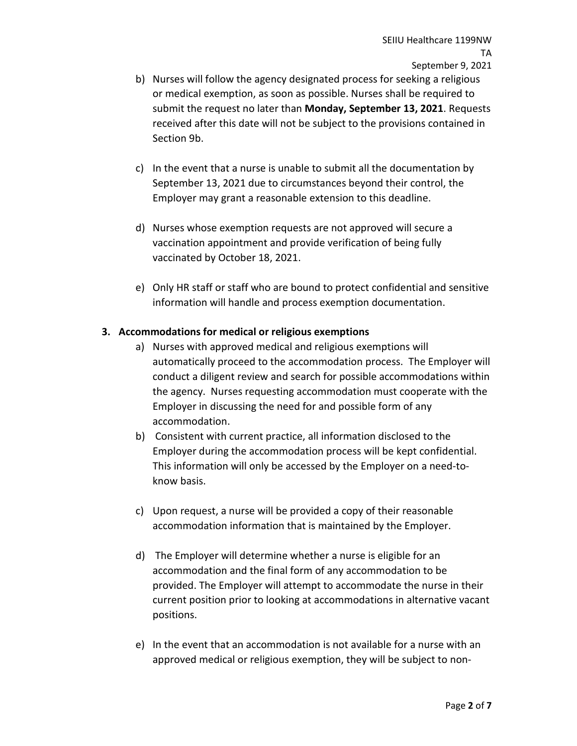- b) Nurses will follow the agency designated process for seeking a religious or medical exemption, as soon as possible. Nurses shall be required to submit the request no later than **Monday, September 13, 2021**. Requests received after this date will not be subject to the provisions contained in Section 9b.
- c) In the event that a nurse is unable to submit all the documentation by September 13, 2021 due to circumstances beyond their control, the Employer may grant a reasonable extension to this deadline.
- d) Nurses whose exemption requests are not approved will secure a vaccination appointment and provide verification of being fully vaccinated by October 18, 2021.
- e) Only HR staff or staff who are bound to protect confidential and sensitive information will handle and process exemption documentation.

### **3. Accommodations for medical or religious exemptions**

- a) Nurses with approved medical and religious exemptions will automatically proceed to the accommodation process. The Employer will conduct a diligent review and search for possible accommodations within the agency. Nurses requesting accommodation must cooperate with the Employer in discussing the need for and possible form of any accommodation.
- b) Consistent with current practice, all information disclosed to the Employer during the accommodation process will be kept confidential. This information will only be accessed by the Employer on a need-toknow basis.
- c) Upon request, a nurse will be provided a copy of their reasonable accommodation information that is maintained by the Employer.
- d) The Employer will determine whether a nurse is eligible for an accommodation and the final form of any accommodation to be provided. The Employer will attempt to accommodate the nurse in their current position prior to looking at accommodations in alternative vacant positions.
- e) In the event that an accommodation is not available for a nurse with an approved medical or religious exemption, they will be subject to non-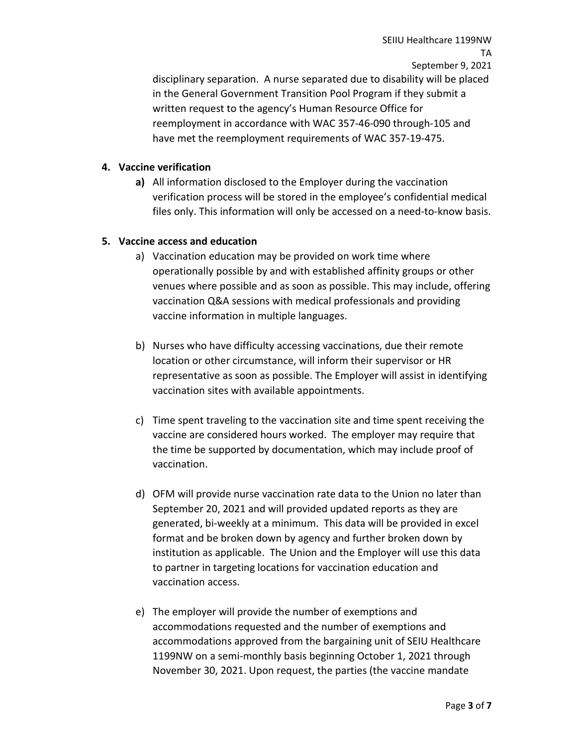SEIIU Healthcare 1199NW TA September 9, 2021 disciplinary separation. A nurse separated due to disability will be placed in the General Government Transition Pool Program if they submit a written request to the agency's Human Resource Office for reemployment in accordance with WAC 357-46-090 through-105 and have met the reemployment requirements of WAC 357-19-475.

#### **4. Vaccine verification**

**a)** All information disclosed to the Employer during the vaccination verification process will be stored in the employee's confidential medical files only. This information will only be accessed on a need-to-know basis.

#### **5. Vaccine access and education**

- a) Vaccination education may be provided on work time where operationally possible by and with established affinity groups or other venues where possible and as soon as possible. This may include, offering vaccination Q&A sessions with medical professionals and providing vaccine information in multiple languages.
- b) Nurses who have difficulty accessing vaccinations, due their remote location or other circumstance, will inform their supervisor or HR representative as soon as possible. The Employer will assist in identifying vaccination sites with available appointments.
- c) Time spent traveling to the vaccination site and time spent receiving the vaccine are considered hours worked. The employer may require that the time be supported by documentation, which may include proof of vaccination.
- d) OFM will provide nurse vaccination rate data to the Union no later than September 20, 2021 and will provided updated reports as they are generated, bi-weekly at a minimum. This data will be provided in excel format and be broken down by agency and further broken down by institution as applicable. The Union and the Employer will use this data to partner in targeting locations for vaccination education and vaccination access.
- e) The employer will provide the number of exemptions and accommodations requested and the number of exemptions and accommodations approved from the bargaining unit of SEIU Healthcare 1199NW on a semi-monthly basis beginning October 1, 2021 through November 30, 2021. Upon request, the parties (the vaccine mandate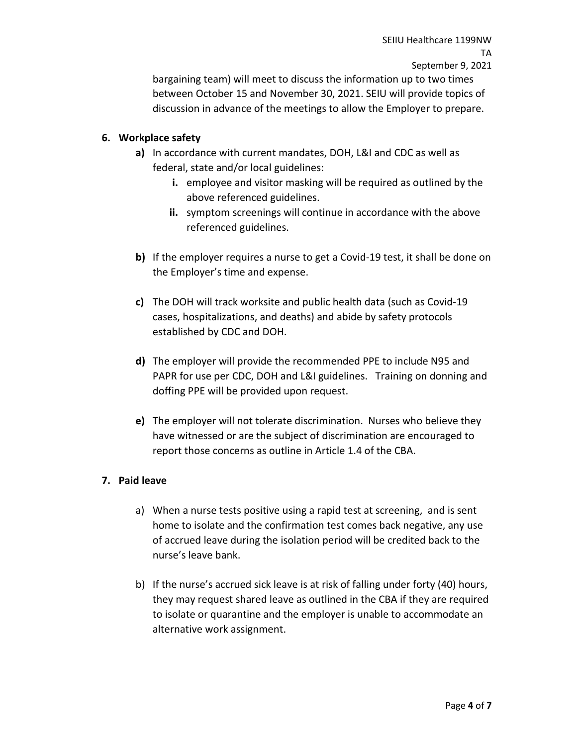SEIIU Healthcare 1199NW TA September 9, 2021

bargaining team) will meet to discuss the information up to two times between October 15 and November 30, 2021. SEIU will provide topics of discussion in advance of the meetings to allow the Employer to prepare.

### **6. Workplace safety**

- **a)** In accordance with current mandates, DOH, L&I and CDC as well as federal, state and/or local guidelines:
	- **i.** employee and visitor masking will be required as outlined by the above referenced guidelines.
	- **ii.** symptom screenings will continue in accordance with the above referenced guidelines.
- **b)** If the employer requires a nurse to get a Covid-19 test, it shall be done on the Employer's time and expense.
- **c)** The DOH will track worksite and public health data (such as Covid-19 cases, hospitalizations, and deaths) and abide by safety protocols established by CDC and DOH.
- **d)** The employer will provide the recommended PPE to include N95 and PAPR for use per CDC, DOH and L&I guidelines. Training on donning and doffing PPE will be provided upon request.
- **e)** The employer will not tolerate discrimination. Nurses who believe they have witnessed or are the subject of discrimination are encouraged to report those concerns as outline in Article 1.4 of the CBA.

#### **7. Paid leave**

- a) When a nurse tests positive using a rapid test at screening, and is sent home to isolate and the confirmation test comes back negative, any use of accrued leave during the isolation period will be credited back to the nurse's leave bank.
- b) If the nurse's accrued sick leave is at risk of falling under forty (40) hours, they may request shared leave as outlined in the CBA if they are required to isolate or quarantine and the employer is unable to accommodate an alternative work assignment.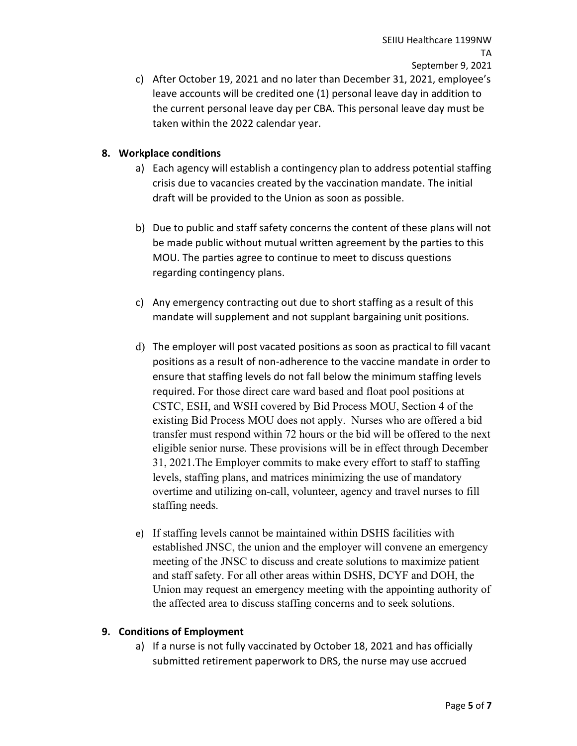c) After October 19, 2021 and no later than December 31, 2021, employee's leave accounts will be credited one (1) personal leave day in addition to the current personal leave day per CBA. This personal leave day must be taken within the 2022 calendar year.

## **8. Workplace conditions**

- a) Each agency will establish a contingency plan to address potential staffing crisis due to vacancies created by the vaccination mandate. The initial draft will be provided to the Union as soon as possible.
- b) Due to public and staff safety concerns the content of these plans will not be made public without mutual written agreement by the parties to this MOU. The parties agree to continue to meet to discuss questions regarding contingency plans.
- c) Any emergency contracting out due to short staffing as a result of this mandate will supplement and not supplant bargaining unit positions.
- d) The employer will post vacated positions as soon as practical to fill vacant positions as a result of non-adherence to the vaccine mandate in order to ensure that staffing levels do not fall below the minimum staffing levels required. For those direct care ward based and float pool positions at CSTC, ESH, and WSH covered by Bid Process MOU, Section 4 of the existing Bid Process MOU does not apply. Nurses who are offered a bid transfer must respond within 72 hours or the bid will be offered to the next eligible senior nurse. These provisions will be in effect through December 31, 2021.The Employer commits to make every effort to staff to staffing levels, staffing plans, and matrices minimizing the use of mandatory overtime and utilizing on-call, volunteer, agency and travel nurses to fill staffing needs.
- e) If staffing levels cannot be maintained within DSHS facilities with established JNSC, the union and the employer will convene an emergency meeting of the JNSC to discuss and create solutions to maximize patient and staff safety. For all other areas within DSHS, DCYF and DOH, the Union may request an emergency meeting with the appointing authority of the affected area to discuss staffing concerns and to seek solutions.

### **9. Conditions of Employment**

a) If a nurse is not fully vaccinated by October 18, 2021 and has officially submitted retirement paperwork to DRS, the nurse may use accrued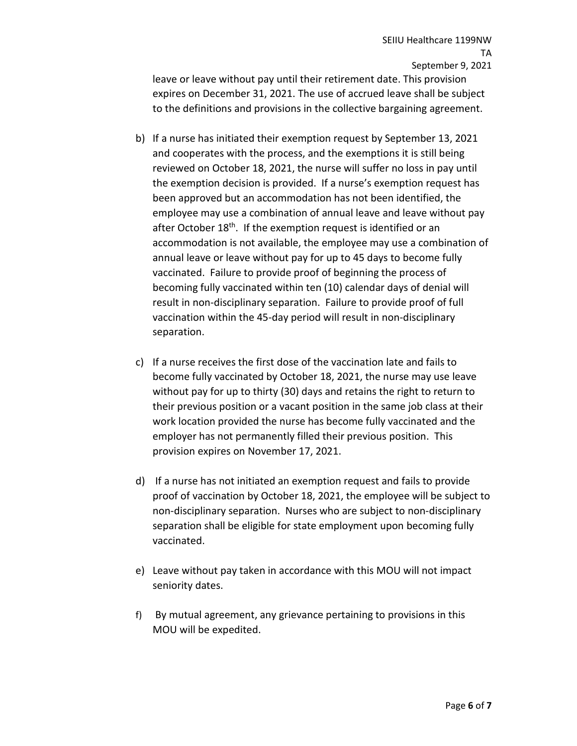SEIIU Healthcare 1199NW TA September 9, 2021

leave or leave without pay until their retirement date. This provision expires on December 31, 2021. The use of accrued leave shall be subject to the definitions and provisions in the collective bargaining agreement.

- b) If a nurse has initiated their exemption request by September 13, 2021 and cooperates with the process, and the exemptions it is still being reviewed on October 18, 2021, the nurse will suffer no loss in pay until the exemption decision is provided. If a nurse's exemption request has been approved but an accommodation has not been identified, the employee may use a combination of annual leave and leave without pay after October 18<sup>th</sup>. If the exemption request is identified or an accommodation is not available, the employee may use a combination of annual leave or leave without pay for up to 45 days to become fully vaccinated. Failure to provide proof of beginning the process of becoming fully vaccinated within ten (10) calendar days of denial will result in non-disciplinary separation. Failure to provide proof of full vaccination within the 45-day period will result in non-disciplinary separation.
- c) If a nurse receives the first dose of the vaccination late and fails to become fully vaccinated by October 18, 2021, the nurse may use leave without pay for up to thirty (30) days and retains the right to return to their previous position or a vacant position in the same job class at their work location provided the nurse has become fully vaccinated and the employer has not permanently filled their previous position. This provision expires on November 17, 2021.
- d) If a nurse has not initiated an exemption request and fails to provide proof of vaccination by October 18, 2021, the employee will be subject to non-disciplinary separation. Nurses who are subject to non-disciplinary separation shall be eligible for state employment upon becoming fully vaccinated.
- e) Leave without pay taken in accordance with this MOU will not impact seniority dates.
- f) By mutual agreement, any grievance pertaining to provisions in this MOU will be expedited.